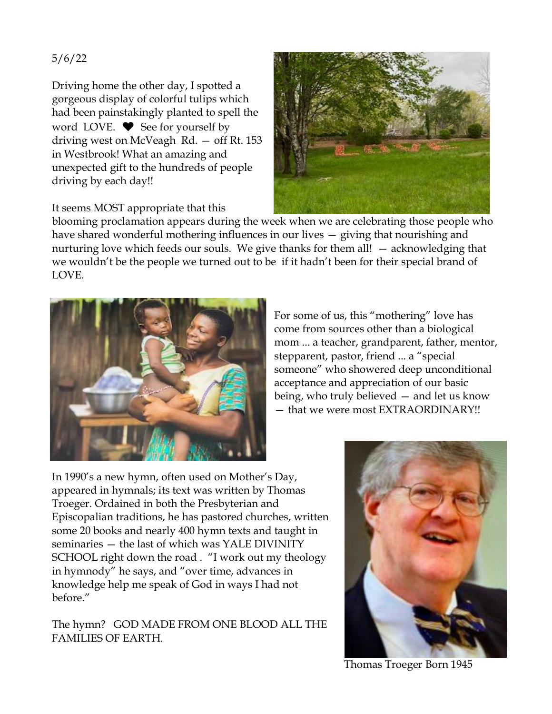## 5/6/22

Driving home the other day, I spotted a gorgeous display of colorful tulips which had been painstakingly planted to spell the word LOVE.  $\blacktriangleright$  See for yourself by driving west on McVeagh Rd. — off Rt. 153 in Westbrook! What an amazing and unexpected gift to the hundreds of people driving by each day!!



It seems MOST appropriate that this

blooming proclamation appears during the week when we are celebrating those people who have shared wonderful mothering influences in our lives — giving that nourishing and nurturing love which feeds our souls. We give thanks for them all! — acknowledging that we wouldn't be the people we turned out to be if it hadn't been for their special brand of LOVE.



For some of us, this "mothering" love has come from sources other than a biological mom ... a teacher, grandparent, father, mentor, stepparent, pastor, friend ... a "special someone" who showered deep unconditional acceptance and appreciation of our basic being, who truly believed — and let us know — that we were most EXTRAORDINARY!!

In 1990's a new hymn, often used on Mother's Day, appeared in hymnals; its text was written by Thomas Troeger. Ordained in both the Presbyterian and Episcopalian traditions, he has pastored churches, written some 20 books and nearly 400 hymn texts and taught in seminaries — the last of which was YALE DIVINITY SCHOOL right down the road . "I work out my theology in hymnody" he says, and "over time, advances in knowledge help me speak of God in ways I had not before."

The hymn? GOD MADE FROM ONE BLOOD ALL THE FAMILIES OF EARTH.



Thomas Troeger Born 1945